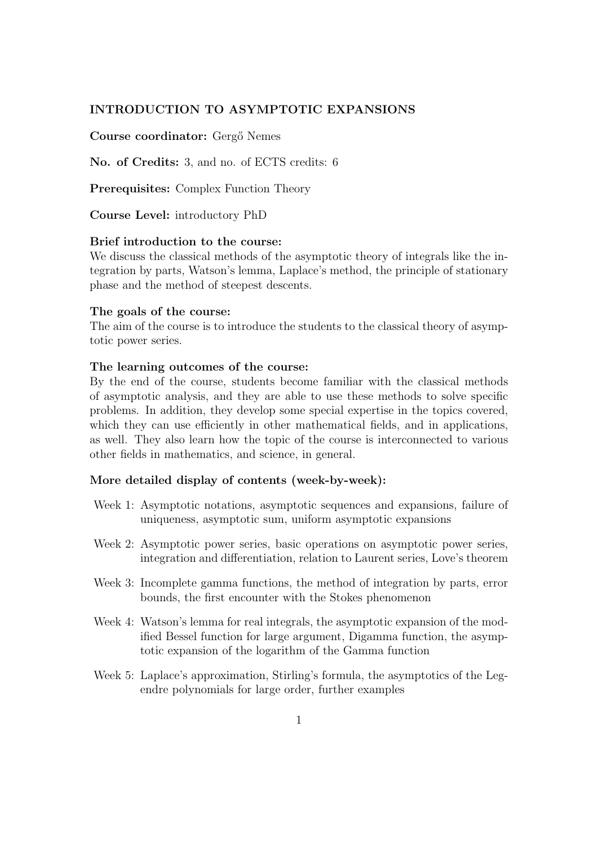## INTRODUCTION TO ASYMPTOTIC EXPANSIONS

Course coordinator: Gergő Nemes

No. of Credits: 3, and no. of ECTS credits: 6

Prerequisites: Complex Function Theory

Course Level: introductory PhD

## Brief introduction to the course:

We discuss the classical methods of the asymptotic theory of integrals like the integration by parts, Watson's lemma, Laplace's method, the principle of stationary phase and the method of steepest descents.

#### The goals of the course:

The aim of the course is to introduce the students to the classical theory of asymptotic power series.

#### The learning outcomes of the course:

By the end of the course, students become familiar with the classical methods of asymptotic analysis, and they are able to use these methods to solve specific problems. In addition, they develop some special expertise in the topics covered, which they can use efficiently in other mathematical fields, and in applications, as well. They also learn how the topic of the course is interconnected to various other fields in mathematics, and science, in general.

# More detailed display of contents (week-by-week):

- Week 1: Asymptotic notations, asymptotic sequences and expansions, failure of uniqueness, asymptotic sum, uniform asymptotic expansions
- Week 2: Asymptotic power series, basic operations on asymptotic power series, integration and differentiation, relation to Laurent series, Love's theorem
- Week 3: Incomplete gamma functions, the method of integration by parts, error bounds, the first encounter with the Stokes phenomenon
- Week 4: Watson's lemma for real integrals, the asymptotic expansion of the modified Bessel function for large argument, Digamma function, the asymptotic expansion of the logarithm of the Gamma function
- Week 5: Laplace's approximation, Stirling's formula, the asymptotics of the Legendre polynomials for large order, further examples